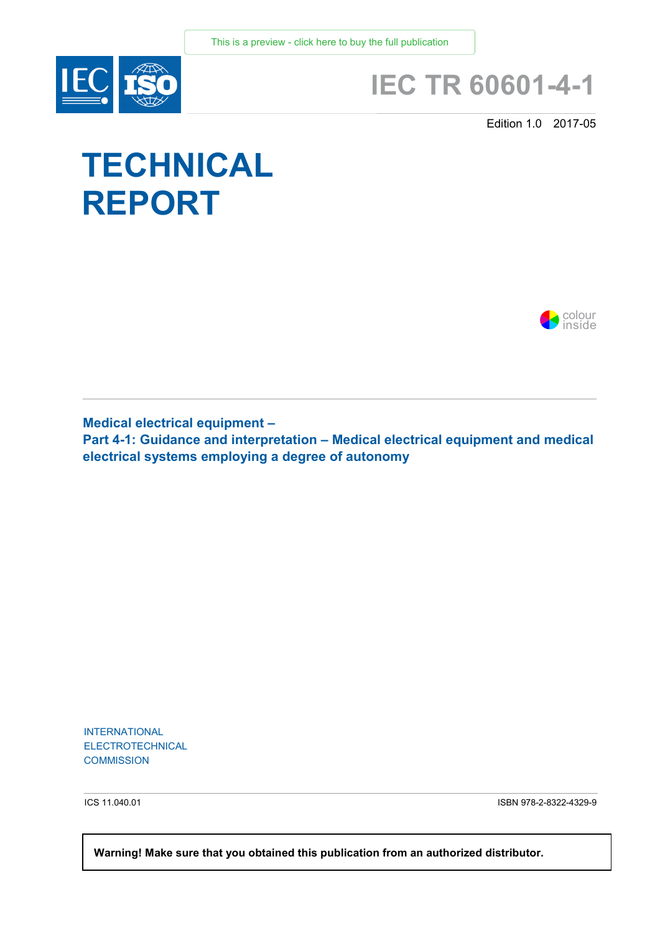

## **IEC TR 60601-4-1**

Edition 1.0 2017-05

# **TECHNICAL REPORT**



**Medical electrical equipment –**

**Part 4-1: Guidance and interpretation – Medical electrical equipment and medical electrical systems employing a degree of autonomy**

INTERNATIONAL ELECTROTECHNICAL **COMMISSION** 

ICS 11.040.01 ISBN 978-2-8322-4329-9

 **Warning! Make sure that you obtained this publication from an authorized distributor.**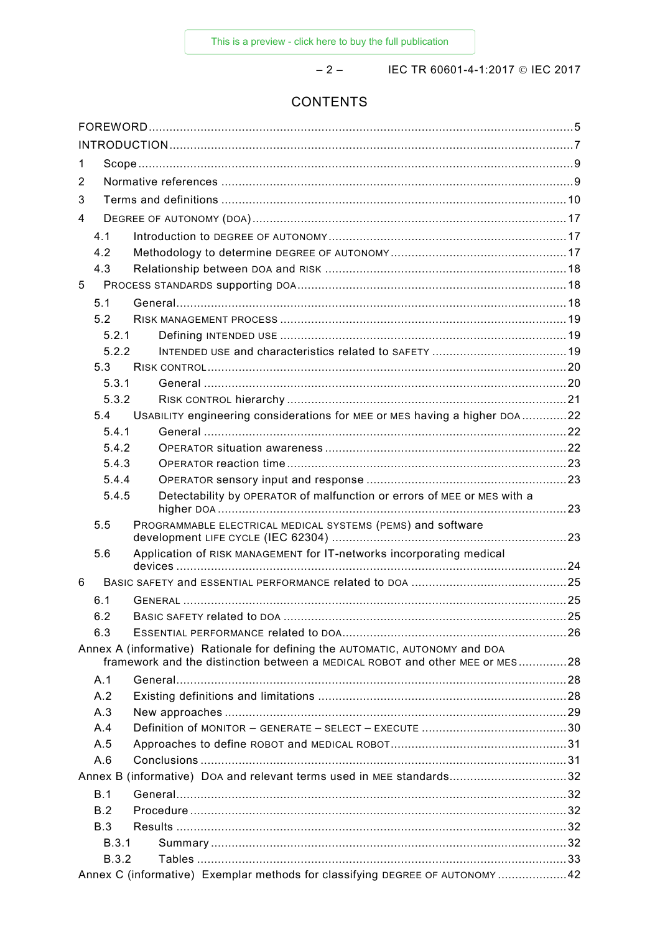$-2-$ 

IEC TR 60601-4-1:2017 © IEC 2017

### **CONTENTS**

| 1.                                                                           |                                                                                                                                                              |  |  |
|------------------------------------------------------------------------------|--------------------------------------------------------------------------------------------------------------------------------------------------------------|--|--|
| 2                                                                            |                                                                                                                                                              |  |  |
| 3                                                                            |                                                                                                                                                              |  |  |
| 4                                                                            |                                                                                                                                                              |  |  |
| 4.1                                                                          |                                                                                                                                                              |  |  |
| 4.2                                                                          |                                                                                                                                                              |  |  |
| 4.3                                                                          |                                                                                                                                                              |  |  |
| 5                                                                            |                                                                                                                                                              |  |  |
| 5.1                                                                          |                                                                                                                                                              |  |  |
| 5.2                                                                          |                                                                                                                                                              |  |  |
| 5.2.1                                                                        |                                                                                                                                                              |  |  |
| 5.2.2                                                                        |                                                                                                                                                              |  |  |
| 5.3                                                                          |                                                                                                                                                              |  |  |
| 5.3.1                                                                        |                                                                                                                                                              |  |  |
| 5.3.2                                                                        |                                                                                                                                                              |  |  |
| 5.4                                                                          | USABILITY engineering considerations for MEE or MES having a higher DOA22                                                                                    |  |  |
| 5.4.1                                                                        |                                                                                                                                                              |  |  |
| 5.4.2                                                                        |                                                                                                                                                              |  |  |
| 5.4.3                                                                        |                                                                                                                                                              |  |  |
| 5.4.4                                                                        |                                                                                                                                                              |  |  |
| 5.4.5                                                                        | Detectability by OPERATOR of malfunction or errors of MEE or MES with a                                                                                      |  |  |
| 5.5                                                                          | PROGRAMMABLE ELECTRICAL MEDICAL SYSTEMS (PEMS) and software                                                                                                  |  |  |
| 5.6                                                                          | Application of RISK MANAGEMENT for IT-networks incorporating medical                                                                                         |  |  |
| 6                                                                            |                                                                                                                                                              |  |  |
| 6.1                                                                          |                                                                                                                                                              |  |  |
| 6.2                                                                          |                                                                                                                                                              |  |  |
| 6.3                                                                          |                                                                                                                                                              |  |  |
|                                                                              | Annex A (informative) Rationale for defining the AUTOMATIC, AUTONOMY and DOA<br>framework and the distinction between a MEDICAL ROBOT and other MEE or MES28 |  |  |
| A.1                                                                          |                                                                                                                                                              |  |  |
| A.2                                                                          |                                                                                                                                                              |  |  |
| A.3                                                                          |                                                                                                                                                              |  |  |
| A.4                                                                          |                                                                                                                                                              |  |  |
| A.5                                                                          |                                                                                                                                                              |  |  |
| A.6                                                                          |                                                                                                                                                              |  |  |
|                                                                              | Annex B (informative) DoA and relevant terms used in MEE standards32                                                                                         |  |  |
| B.1                                                                          |                                                                                                                                                              |  |  |
| B.2                                                                          |                                                                                                                                                              |  |  |
| B.3                                                                          |                                                                                                                                                              |  |  |
| B.3.1                                                                        |                                                                                                                                                              |  |  |
| <b>B.3.2</b>                                                                 |                                                                                                                                                              |  |  |
| Annex C (informative) Exemplar methods for classifying DEGREE OF AUTONOMY 42 |                                                                                                                                                              |  |  |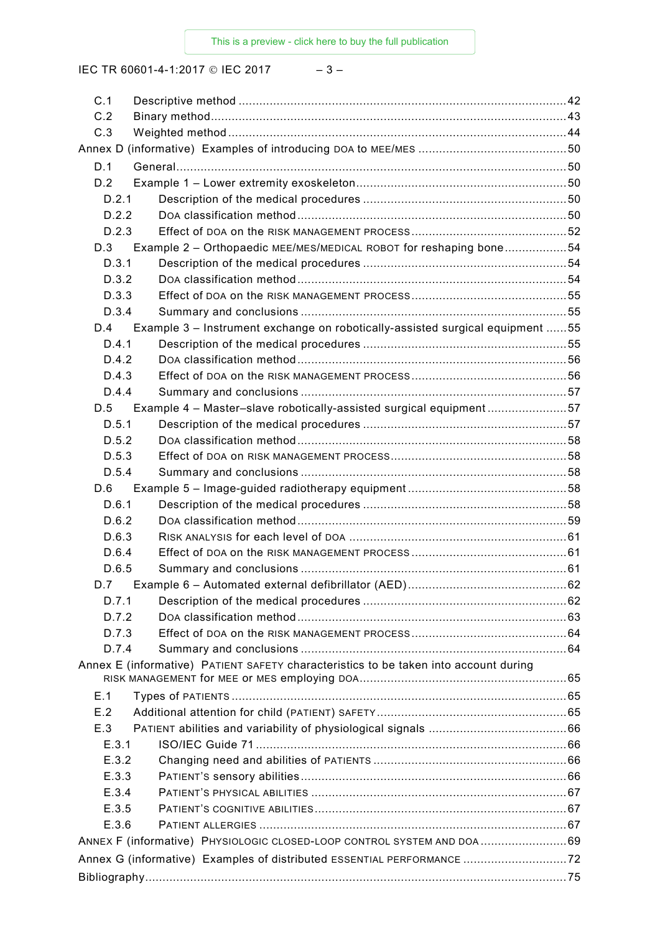IEC TR 60601-4-1:2017 © IEC 2017 – 3-

| C.1                                                                     |                                                                                      |  |  |  |  |  |
|-------------------------------------------------------------------------|--------------------------------------------------------------------------------------|--|--|--|--|--|
| C.2                                                                     |                                                                                      |  |  |  |  |  |
| C.3                                                                     |                                                                                      |  |  |  |  |  |
|                                                                         |                                                                                      |  |  |  |  |  |
| D.1                                                                     |                                                                                      |  |  |  |  |  |
| D.2                                                                     |                                                                                      |  |  |  |  |  |
| D.2.1                                                                   |                                                                                      |  |  |  |  |  |
| D.2.2                                                                   |                                                                                      |  |  |  |  |  |
| D.2.3                                                                   |                                                                                      |  |  |  |  |  |
| D.3                                                                     | Example 2 - Orthopaedic MEE/MES/MEDICAL ROBOT for reshaping bone54                   |  |  |  |  |  |
| D.3.1                                                                   |                                                                                      |  |  |  |  |  |
| D.3.2                                                                   |                                                                                      |  |  |  |  |  |
| D.3.3                                                                   |                                                                                      |  |  |  |  |  |
| D.3.4                                                                   |                                                                                      |  |  |  |  |  |
| D.4                                                                     | Example 3 - Instrument exchange on robotically-assisted surgical equipment 55        |  |  |  |  |  |
| D.4.1                                                                   |                                                                                      |  |  |  |  |  |
| D.4.2                                                                   |                                                                                      |  |  |  |  |  |
| D.4.3                                                                   |                                                                                      |  |  |  |  |  |
| D.4.4                                                                   |                                                                                      |  |  |  |  |  |
| D.5                                                                     | Example 4 - Master-slave robotically-assisted surgical equipment57                   |  |  |  |  |  |
| D.5.1                                                                   |                                                                                      |  |  |  |  |  |
| D.5.2                                                                   |                                                                                      |  |  |  |  |  |
| D.5.3                                                                   |                                                                                      |  |  |  |  |  |
| D.5.4                                                                   |                                                                                      |  |  |  |  |  |
| D.6                                                                     |                                                                                      |  |  |  |  |  |
| D.6.1                                                                   |                                                                                      |  |  |  |  |  |
| D.6.2                                                                   |                                                                                      |  |  |  |  |  |
| D.6.3                                                                   |                                                                                      |  |  |  |  |  |
| D.6.4                                                                   |                                                                                      |  |  |  |  |  |
| D.6.5                                                                   |                                                                                      |  |  |  |  |  |
|                                                                         |                                                                                      |  |  |  |  |  |
| D.7.1                                                                   |                                                                                      |  |  |  |  |  |
| D.7.2                                                                   |                                                                                      |  |  |  |  |  |
| D.7.3                                                                   |                                                                                      |  |  |  |  |  |
| D.7.4                                                                   |                                                                                      |  |  |  |  |  |
|                                                                         | Annex E (informative) PATIENT SAFETY characteristics to be taken into account during |  |  |  |  |  |
| E.1                                                                     |                                                                                      |  |  |  |  |  |
| E.2                                                                     |                                                                                      |  |  |  |  |  |
| E.3                                                                     |                                                                                      |  |  |  |  |  |
| E.3.1                                                                   |                                                                                      |  |  |  |  |  |
| E.3.2                                                                   |                                                                                      |  |  |  |  |  |
| E.3.3                                                                   |                                                                                      |  |  |  |  |  |
| E.3.4                                                                   |                                                                                      |  |  |  |  |  |
| E.3.5                                                                   |                                                                                      |  |  |  |  |  |
| E.3.6                                                                   |                                                                                      |  |  |  |  |  |
| ANNEX F (informative) PHYSIOLOGIC CLOSED-LOOP CONTROL SYSTEM AND DOA 69 |                                                                                      |  |  |  |  |  |
| Annex G (informative) Examples of distributed ESSENTIAL PERFORMANCE  72 |                                                                                      |  |  |  |  |  |
|                                                                         |                                                                                      |  |  |  |  |  |
|                                                                         |                                                                                      |  |  |  |  |  |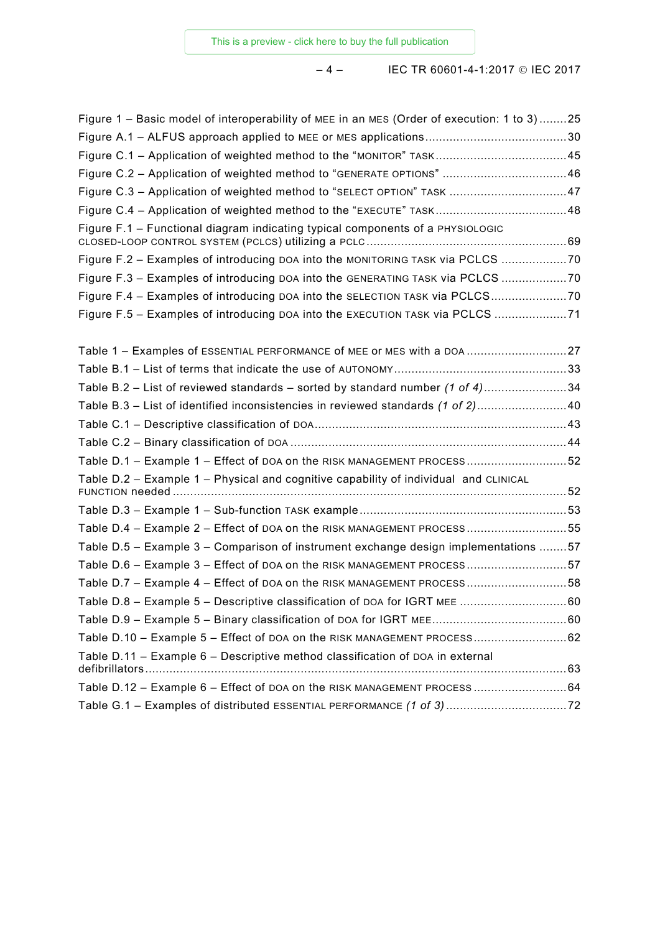$-4 -$  IEC TR 60601-4-1:2017 © IEC 2017

| Figure 1 – Basic model of interoperability of MEE in an MES (Order of execution: 1 to 3)25 |  |
|--------------------------------------------------------------------------------------------|--|
|                                                                                            |  |
|                                                                                            |  |
| Figure C.2 - Application of weighted method to "GENERATE OPTIONS"  46                      |  |
| Figure C.3 - Application of weighted method to "SELECT OPTION" TASK 47                     |  |
|                                                                                            |  |
| Figure F.1 - Functional diagram indicating typical components of a PHYSIOLOGIC             |  |
| Figure F.2 - Examples of introducing DOA into the MONITORING TASK via PCLCS 70             |  |
| Figure F.3 - Examples of introducing DOA into the GENERATING TASK via PCLCS 70             |  |
| Figure F.4 - Examples of introducing DOA into the SELECTION TASK via PCLCS70               |  |
| Figure F.5 - Examples of introducing DOA into the EXECUTION TASK via PCLCS 71              |  |
|                                                                                            |  |
| Table 1 - Examples of ESSENTIAL PERFORMANCE of MEE or MES with a DOA 27                    |  |
|                                                                                            |  |
| Table B.2 - List of reviewed standards - sorted by standard number (1 of 4)34              |  |
| Table B.3 – List of identified inconsistencies in reviewed standards (1 of 2)40            |  |
|                                                                                            |  |
|                                                                                            |  |
| Table D.1 - Example 1 - Effect of DOA on the RISK MANAGEMENT PROCESS52                     |  |
| Table D.2 - Example 1 - Physical and cognitive capability of individual and CLINICAL       |  |
|                                                                                            |  |
| Table D.4 - Example 2 - Effect of DOA on the RISK MANAGEMENT PROCESS55                     |  |
| Table D.5 - Example 3 - Comparison of instrument exchange design implementations 57        |  |
| Table D.6 - Example 3 - Effect of DOA on the RISK MANAGEMENT PROCESS 57                    |  |
| Table D.7 - Example 4 - Effect of DOA on the RISK MANAGEMENT PROCESS58                     |  |
| Table D.8 - Example 5 - Descriptive classification of DOA for IGRT MEE  60                 |  |
|                                                                                            |  |
| Table D.10 - Example 5 - Effect of DOA on the RISK MANAGEMENT PROCESS62                    |  |
| Table D.11 - Example 6 - Descriptive method classification of DOA in external              |  |
| Table D.12 - Example 6 - Effect of DOA on the RISK MANAGEMENT PROCESS  64                  |  |
|                                                                                            |  |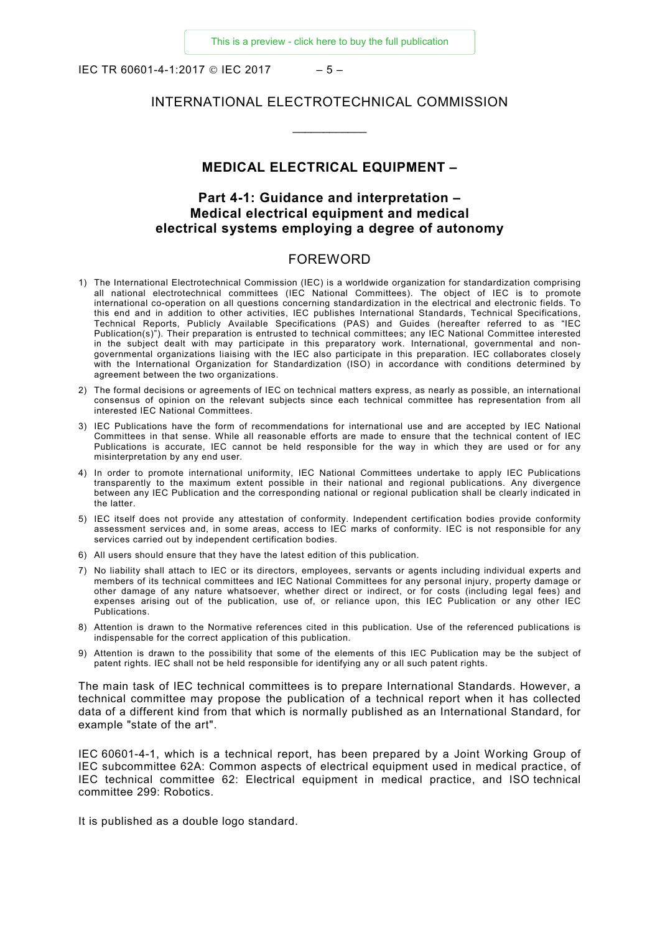IEC TR 60601-4-1:2017 © IEC 2017 – 5 –

#### INTERNATIONAL ELECTROTECHNICAL COMMISSION

#### **MEDICAL ELECTRICAL EQUIPMENT –**

#### **Part 4-1: Guidance and interpretation – Medical electrical equipment and medical electrical systems employing a degree of autonomy**

#### FOREWORD

- <span id="page-4-0"></span>1) The International Electrotechnical Commission (IEC) is a worldwide organization for standardization comprising all national electrotechnical committees (IEC National Committees). The object of IEC is to promote international co-operation on all questions concerning standardization in the electrical and electronic fields. To this end and in addition to other activities, IEC publishes International Standards, Technical Specifications, Technical Reports, Publicly Available Specifications (PAS) and Guides (hereafter referred to as "IEC Publication(s)"). Their preparation is entrusted to technical committees; any IEC National Committee interested in the subject dealt with may participate in this preparatory work. International, governmental and nongovernmental organizations liaising with the IEC also participate in this preparation. IEC collaborates closely with the International Organization for Standardization (ISO) in accordance with conditions determined by agreement between the two organizations.
- 2) The formal decisions or agreements of IEC on technical matters express, as nearly as possible, an international consensus of opinion on the relevant subjects since each technical committee has representation from all interested IEC National Committees.
- 3) IEC Publications have the form of recommendations for international use and are accepted by IEC National Committees in that sense. While all reasonable efforts are made to ensure that the technical content of IEC Publications is accurate, IEC cannot be held responsible for the way in which they are used or for any misinterpretation by any end user.
- 4) In order to promote international uniformity, IEC National Committees undertake to apply IEC Publications transparently to the maximum extent possible in their national and regional publications. Any divergence between any IEC Publication and the corresponding national or regional publication shall be clearly indicated in the latter.
- 5) IEC itself does not provide any attestation of conformity. Independent certification bodies provide conformity assessment services and, in some areas, access to IEC marks of conformity. IEC is not responsible for any services carried out by independent certification bodies.
- 6) All users should ensure that they have the latest edition of this publication.
- 7) No liability shall attach to IEC or its directors, employees, servants or agents including individual experts and members of its technical committees and IEC National Committees for any personal injury, property damage or other damage of any nature whatsoever, whether direct or indirect, or for costs (including legal fees) and expenses arising out of the publication, use of, or reliance upon, this IEC Publication or any other IEC Publications.
- 8) Attention is drawn to the Normative references cited in this publication. Use of the referenced publications is indispensable for the correct application of this publication.
- 9) Attention is drawn to the possibility that some of the elements of this IEC Publication may be the subject of patent rights. IEC shall not be held responsible for identifying any or all such patent rights.

The main task of IEC technical committees is to prepare International Standards. However, a technical committee may propose the publication of a technical report when it has collected data of a different kind from that which is normally published as an International Standard, for example "state of the art".

IEC 60601-4-1, which is a technical report, has been prepared by a Joint Working Group of IEC subcommittee 62A: Common aspects of electrical equipment used in medical practice, of IEC technical committee 62: Electrical equipment in medical practice, and ISO technical committee 299: Robotics.

It is published as a double logo standard.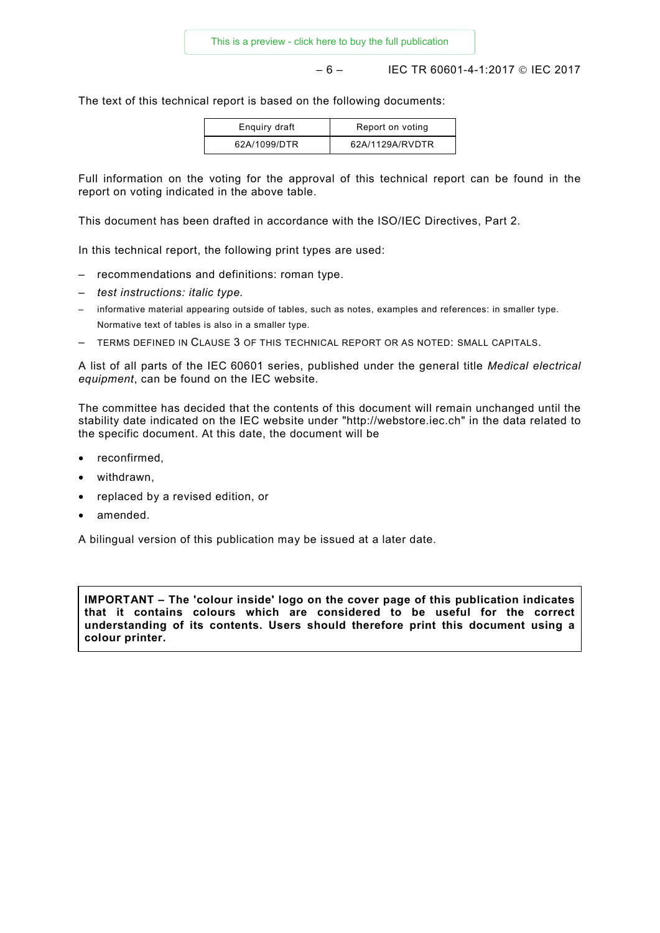– 6 – IEC TR 60601-4-1:2017 © IEC 2017

The text of this technical report is based on the following documents:

| Enquiry draft | Report on voting |
|---------------|------------------|
| 62A/1099/DTR  | 62A/1129A/RVDTR  |

Full information on the voting for the approval of this technical report can be found in the report on voting indicated in the above table.

This document has been drafted in accordance with the ISO/IEC Directives, Part 2.

In this technical report, the following print types are used:

- recommendations and definitions: roman type.
- *test instructions: italic type.*
- informative material appearing outside of tables, such as notes, examples and references: in smaller type. Normative text of tables is also in a smaller type.
- TERMS DEFINED IN CLAUSE 3 OF THIS TECHNICAL REPORT OR AS NOTED: SMALL CAPITALS.

A list of all parts of the IEC 60601 series, published under the general title *Medical electrical equipment*, can be found on the IEC website.

The committee has decided that the contents of this document will remain unchanged until the stability date indicated on the IEC website under "http://webstore.iec.ch" in the data related to the specific document. At this date, the document will be

- reconfirmed.
- withdrawn,
- replaced by a revised edition, or
- amended.

A bilingual version of this publication may be issued at a later date.

**IMPORTANT – The 'colour inside' logo on the cover page of this publication indicates that it contains colours which are considered to be useful for the correct understanding of its contents. Users should therefore print this document using a colour printer.**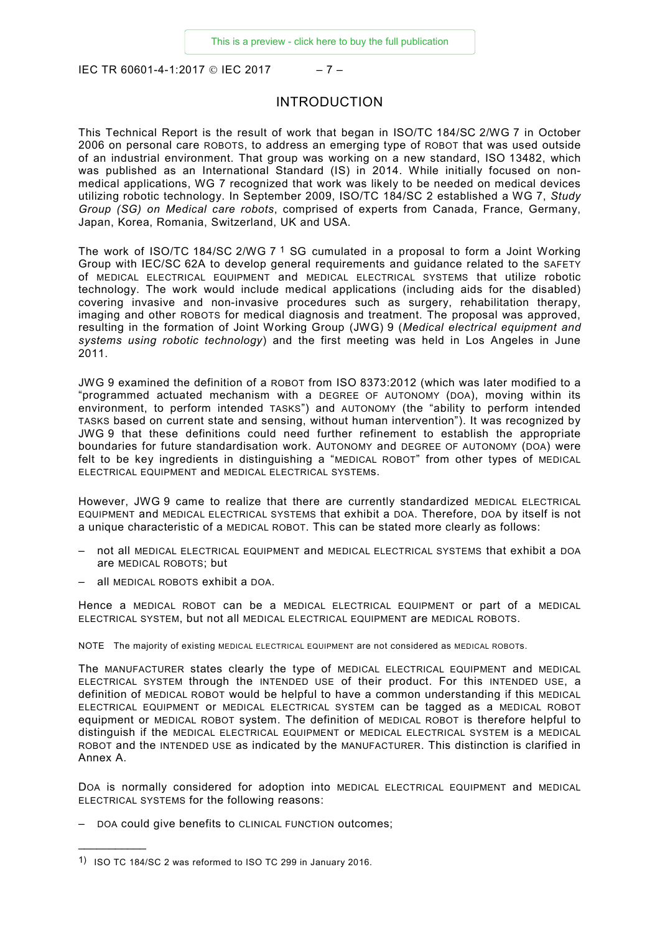<span id="page-6-0"></span>IEC TR 60601-4-1:2017 © IEC 2017 – 7-

#### INTRODUCTION

This Technical Report is the result of work that began in ISO/TC 184/SC 2/WG 7 in October 2006 on personal care ROBOTS, to address an emerging type of ROBOT that was used outside of an industrial environment. That group was working on a new standard, ISO 13482, which was published as an International Standard (IS) in 2014. While initially focused on nonmedical applications, WG 7 recognized that work was likely to be needed on medical devices utilizing robotic technology. In September 2009, ISO/TC 184/SC 2 established a WG 7, *Study Group (SG) on Medical care robots*, comprised of experts from Canada, France, Germany, Japan, Korea, Romania, Switzerland, UK and USA.

The work of ISO/TC 184/SC 2/WG 7 [1](#page-6-1) SG cumulated in a proposal to form a Joint Working Group with IEC/SC 62A to develop general requirements and guidance related to the SAFETY of MEDICAL ELECTRICAL EQUIPMENT and MEDICAL ELECTRICAL SYSTEMS that utilize robotic technology. The work would include medical applications (including aids for the disabled) covering invasive and non-invasive procedures such as surgery, rehabilitation therapy, imaging and other ROBOTS for medical diagnosis and treatment. The proposal was approved, resulting in the formation of Joint Working Group (JWG) 9 (*Medical electrical equipment and systems using robotic technology*) and the first meeting was held in Los Angeles in June 2011.

JWG 9 examined the definition of a ROBOT from ISO 8373:2012 (which was later modified to a "programmed actuated mechanism with a DEGREE OF AUTONOMY (DOA), moving within its environment, to perform intended TASKS") and AUTONOMY (the "ability to perform intended TASKS based on current state and sensing, without human intervention"). It was recognized by JWG 9 that these definitions could need further refinement to establish the appropriate boundaries for future standardisation work. AUTONOMY and DEGREE OF AUTONOMY (DOA) were felt to be key ingredients in distinguishing a "MEDICAL ROBOT" from other types of MEDICAL ELECTRICAL EQUIPMENT and MEDICAL ELECTRICAL SYSTEMs.

However, JWG 9 came to realize that there are currently standardized MEDICAL ELECTRICAL EQUIPMENT and MEDICAL ELECTRICAL SYSTEMS that exhibit a DOA. Therefore, DOA by itself is not a unique characteristic of a MEDICAL ROBOT. This can be stated more clearly as follows:

- not all MEDICAL ELECTRICAL EQUIPMENT and MEDICAL ELECTRICAL SYSTEMS that exhibit a DOA are MEDICAL ROBOTS; but
- all MEDICAL ROBOTS exhibit a DOA.

Hence a MEDICAL ROBOT can be a MEDICAL ELECTRICAL EQUIPMENT or part of a MEDICAL ELECTRICAL SYSTEM, but not all MEDICAL ELECTRICAL EQUIPMENT are MEDICAL ROBOTS.

NOTE The majority of existing MEDICAL ELECTRICAL EQUIPMENT are not considered as MEDICAL ROBOTs.

The MANUFACTURER states clearly the type of MEDICAL ELECTRICAL EQUIPMENT and MEDICAL ELECTRICAL SYSTEM through the INTENDED USE of their product. For this INTENDED USE, a definition of MEDICAL ROBOT would be helpful to have a common understanding if this MEDICAL ELECTRICAL EQUIPMENT or MEDICAL ELECTRICAL SYSTEM can be tagged as a MEDICAL ROBOT equipment or MEDICAL ROBOT system. The definition of MEDICAL ROBOT is therefore helpful to distinguish if the MEDICAL ELECTRICAL EQUIPMENT or MEDICAL ELECTRICAL SYSTEM is a MEDICAL ROBOT and the INTENDED USE as indicated by the MANUFACTURER. This distinction is clarified in Annex A.

DOA is normally considered for adoption into MEDICAL ELECTRICAL EQUIPMENT and MEDICAL ELECTRICAL SYSTEMS for the following reasons:

– DOA could give benefits to CLINICAL FUNCTION outcomes;

 $\mathcal{L}$  , we have the set of  $\mathcal{L}$ 

<span id="page-6-1"></span><sup>1)</sup> ISO TC 184/SC 2 was reformed to ISO TC 299 in January 2016.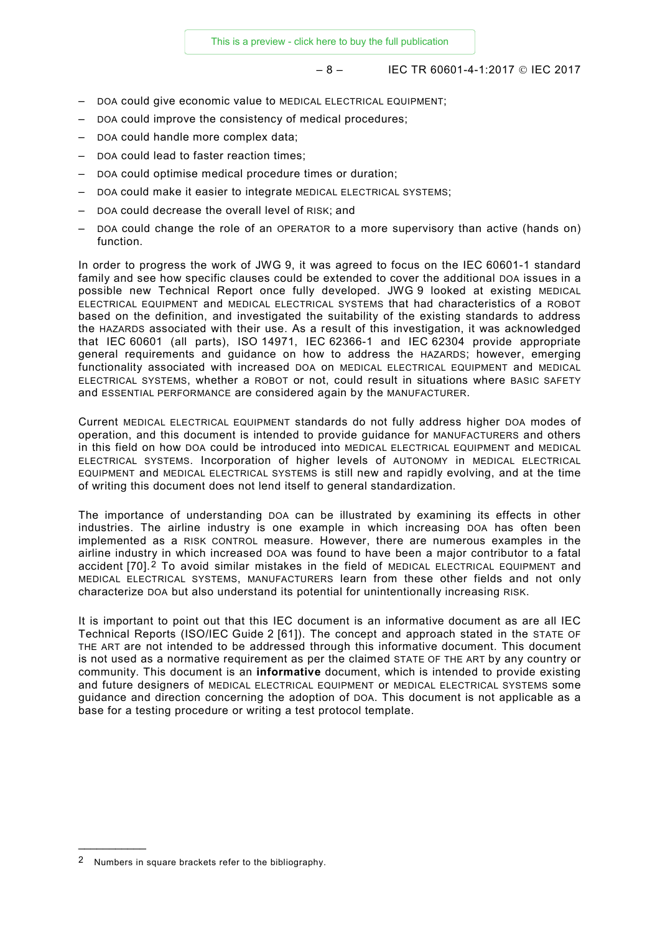$-8 -$  IEC TR 60601-4-1:2017 © IEC 2017

- DOA could give economic value to MEDICAL ELECTRICAL EQUIPMENT;
- DOA could improve the consistency of medical procedures;
- DOA could handle more complex data;
- DOA could lead to faster reaction times;
- DOA could optimise medical procedure times or duration;
- DOA could make it easier to integrate MEDICAL ELECTRICAL SYSTEMS;
- DOA could decrease the overall level of RISK; and
- DOA could change the role of an OPERATOR to a more supervisory than active (hands on) function.

In order to progress the work of JWG 9, it was agreed to focus on the IEC 60601-1 standard family and see how specific clauses could be extended to cover the additional DOA issues in a possible new Technical Report once fully developed. JWG 9 looked at existing MEDICAL ELECTRICAL EQUIPMENT and MEDICAL ELECTRICAL SYSTEMS that had characteristics of a ROBOT based on the definition, and investigated the suitability of the existing standards to address the HAZARDS associated with their use. As a result of this investigation, it was acknowledged that IEC 60601 (all parts), ISO 14971, IEC 62366-1 and IEC 62304 provide appropriate general requirements and guidance on how to address the HAZARDS; however, emerging functionality associated with increased DOA on MEDICAL ELECTRICAL EQUIPMENT and MEDICAL ELECTRICAL SYSTEMS, whether a ROBOT or not, could result in situations where BASIC SAFETY and ESSENTIAL PERFORMANCE are considered again by the MANUFACTURER.

Current MEDICAL ELECTRICAL EQUIPMENT standards do not fully address higher DOA modes of operation, and this document is intended to provide guidance for MANUFACTURERS and others in this field on how DOA could be introduced into MEDICAL ELECTRICAL EQUIPMENT and MEDICAL ELECTRICAL SYSTEMS. Incorporation of higher levels of AUTONOMY in MEDICAL ELECTRICAL EQUIPMENT and MEDICAL ELECTRICAL SYSTEMS is still new and rapidly evolving, and at the time of writing this document does not lend itself to general standardization.

The importance of understanding DOA can be illustrated by examining its effects in other industries. The airline industry is one example in which increasing DOA has often been implemented as a RISK CONTROL measure. However, there are numerous examples in the airline industry in which increased DOA was found to have been a major contributor to a fatal accident [70].[2](#page-7-0) To avoid similar mistakes in the field of MEDICAL ELECTRICAL EQUIPMENT and MEDICAL ELECTRICAL SYSTEMS, MANUFACTURERS learn from these other fields and not only characterize DOA but also understand its potential for unintentionally increasing RISK.

It is important to point out that this IEC document is an informative document as are all IEC Technical Reports (ISO/IEC Guide 2 [61]). The concept and approach stated in the STATE OF THE ART are not intended to be addressed through this informative document. This document is not used as a normative requirement as per the claimed STATE OF THE ART by any country or community. This document is an **informative** document, which is intended to provide existing and future designers of MEDICAL ELECTRICAL EQUIPMENT or MEDICAL ELECTRICAL SYSTEMS some guidance and direction concerning the adoption of DOA. This document is not applicable as a base for a testing procedure or writing a test protocol template.

 $\mathcal{L}$  , we have the set of  $\mathcal{L}$ 

<span id="page-7-0"></span><sup>2</sup> Numbers in square brackets refer to the bibliography.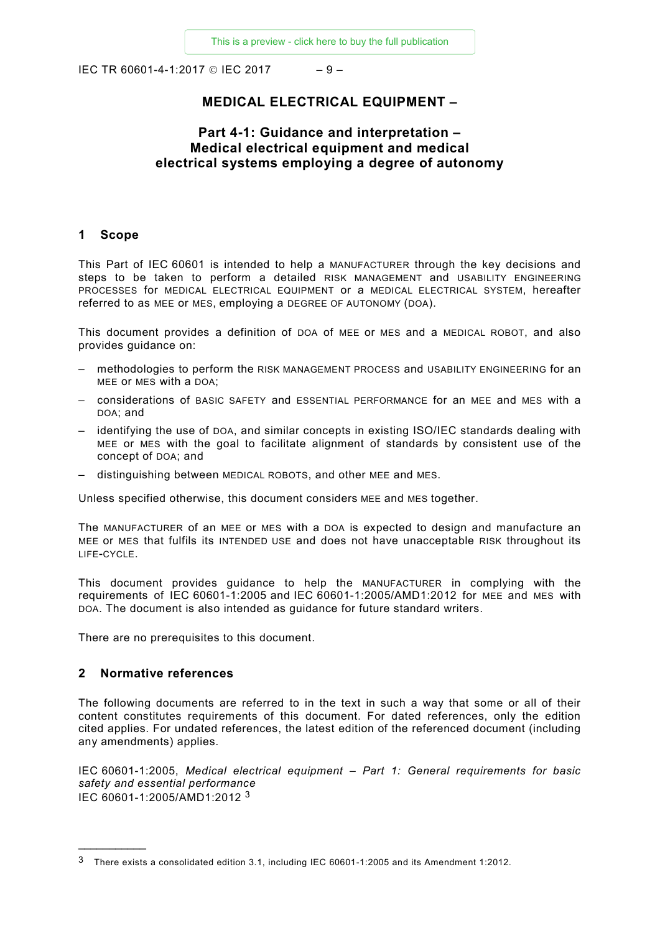IEC TR 60601-4-1:2017 © IEC 2017  $-9-$ 

#### **MEDICAL ELECTRICAL EQUIPMENT –**

#### **Part 4-1: Guidance and interpretation – Medical electrical equipment and medical electrical systems employing a degree of autonomy**

#### <span id="page-8-0"></span>**1 Scope**

This Part of IEC 60601 is intended to help a MANUFACTURER through the key decisions and steps to be taken to perform a detailed RISK MANAGEMENT and USABILITY ENGINEERING PROCESSES for MEDICAL ELECTRICAL EQUIPMENT or a MEDICAL ELECTRICAL SYSTEM, hereafter referred to as MEE or MES, employing a DEGREE OF AUTONOMY (DOA).

This document provides a definition of DOA of MEE or MES and a MEDICAL ROBOT, and also provides guidance on:

- methodologies to perform the RISK MANAGEMENT PROCESS and USABILITY ENGINEERING for an MEE or MES with a DOA;
- considerations of BASIC SAFETY and ESSENTIAL PERFORMANCE for an MEE and MES with a DOA; and
- identifying the use of DOA, and similar concepts in existing ISO/IEC standards dealing with MEE or MES with the goal to facilitate alignment of standards by consistent use of the concept of DOA; and
- distinguishing between MEDICAL ROBOTS, and other MEE and MES.

Unless specified otherwise, this document considers MEE and MES together.

The MANUFACTURER of an MEE or MES with a DOA is expected to design and manufacture an MEE or MES that fulfils its INTENDED USE and does not have unacceptable RISK throughout its LIFE-CYCLE.

This document provides guidance to help the MANUFACTURER in complying with the requirements of IEC 60601-1:2005 and IEC 60601-1:2005/AMD1:2012 for MEE and MES with DOA. The document is also intended as guidance for future standard writers.

There are no prerequisites to this document.

#### <span id="page-8-1"></span>**2 Normative references**

 $\mathcal{L}$  , we have the set of  $\mathcal{L}$ 

The following documents are referred to in the text in such a way that some or all of their content constitutes requirements of this document. For dated references, only the edition cited applies. For undated references, the latest edition of the referenced document (including any amendments) applies.

IEC 60601-1:2005, *Medical electrical equipment – Part 1: General requirements for basic safety and essential performance* IEC 60601-1:2005/AMD1:2012 [3](#page-8-2)

<span id="page-8-2"></span><sup>3</sup> There exists a consolidated edition 3.1, including IEC 60601-1:2005 and its Amendment 1:2012.